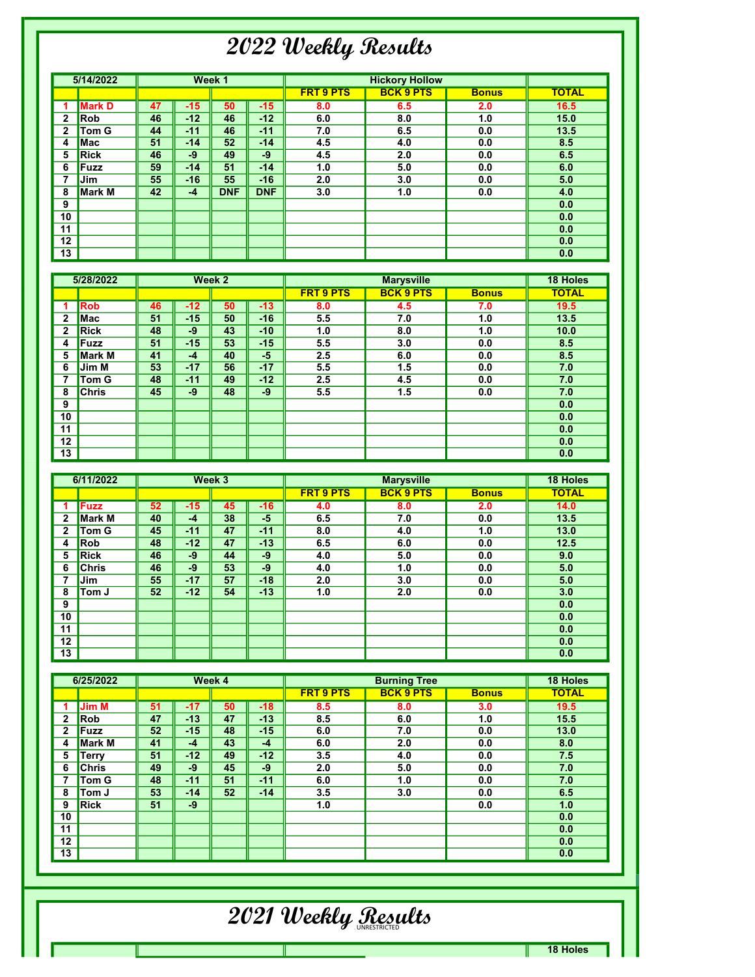## 2022 Weekly Results

|                | 5/14/2022     |    |       | Week 1     |            |                  | <b>Hickory Hollow</b> |              |              |
|----------------|---------------|----|-------|------------|------------|------------------|-----------------------|--------------|--------------|
|                |               |    |       |            |            | <b>FRT 9 PTS</b> | <b>BCK 9 PTS</b>      | <b>Bonus</b> | <b>TOTAL</b> |
|                | <b>Mark D</b> | 47 | $-15$ | 50         | $-15$      | 8.0              | 6.5                   | 2.0          | 16.5         |
| 2              | <b>Rob</b>    | 46 | $-12$ | 46         | $-12$      | 6.0              | 8.0                   | 1.0          | 15.0         |
| $\overline{2}$ | <b>Tom G</b>  | 44 | $-11$ | 46         | $-11$      | 7.0              | 6.5                   | 0.0          | 13.5         |
| 4              | <b>Mac</b>    | 51 | $-14$ | 52         | $-14$      | 4.5              | 4.0                   | 0.0          | 8.5          |
| 5              | <b>Rick</b>   | 46 | $-9$  | 49         | $-9$       | 4.5              | 2.0                   | 0.0          | 6.5          |
| 6              | <b>Fuzz</b>   | 59 | $-14$ | 51         | $-14$      | 1.0              | 5.0                   | 0.0          | 6.0          |
| 7              | Jim           | 55 | $-16$ | 55         | $-16$      | 2.0              | 3.0                   | 0.0          | 5.0          |
| 8              | <b>Mark M</b> | 42 | $-4$  | <b>DNF</b> | <b>DNF</b> | 3.0              | 1.0                   | 0.0          | 4.0          |
| 9              |               |    |       |            |            |                  |                       |              | 0.0          |
| 10             |               |    |       |            |            |                  |                       |              | 0.0          |
| 11             |               |    |       |            |            |                  |                       |              | 0.0          |
| 12             |               |    |       |            |            |                  |                       |              | 0.0          |
| 13             |               |    |       |            |            |                  |                       |              | 0.0          |

|    | 5/28/2022     |    |       | Week 2 |       |                  |                  | <b>18 Holes</b> |              |
|----|---------------|----|-------|--------|-------|------------------|------------------|-----------------|--------------|
|    |               |    |       |        |       | <b>FRT 9 PTS</b> | <b>BCK 9 PTS</b> | <b>Bonus</b>    | <b>TOTAL</b> |
|    | <b>Rob</b>    | 46 | $-12$ | 50     | $-13$ | 8.0              | 4.5              | 7.0             | 19.5         |
| 2  | Mac           | 51 | $-15$ | 50     | $-16$ | 5.5              | 7.0              | 1.0             | 13.5         |
| 2  | <b>Rick</b>   | 48 | -9    | 43     | $-10$ | 1.0              | 8.0              | 1.0             | 10.0         |
| 4  | <b>Fuzz</b>   | 51 | $-15$ | 53     | $-15$ | 5.5              | 3.0              | 0.0             | 8.5          |
| 5  | <b>Mark M</b> | 41 | $-4$  | 40     | $-5$  | 2.5              | 6.0              | 0.0             | 8.5          |
| 6  | Jim M         | 53 | $-17$ | 56     | $-17$ | 5.5              | 1.5              | 0.0             | 7.0          |
| 7  | Tom G         | 48 | $-11$ | 49     | $-12$ | 2.5              | 4.5              | 0.0             | 7.0          |
| 8  | <b>Chris</b>  | 45 | $-9$  | 48     | $-9$  | 5.5              | 1.5              | 0.0             | 7.0          |
| 9  |               |    |       |        |       |                  |                  |                 | 0.0          |
| 10 |               |    |       |        |       |                  |                  |                 | 0.0          |
| 11 |               |    |       |        |       |                  |                  |                 | 0.0          |
| 12 |               |    |       |        |       |                  |                  |                 | 0.0          |
| 13 |               |    |       |        |       |                  |                  |                 | 0.0          |

|              | 6/11/2022     |    |       | Week 3 |       |                  | <b>Marysville</b> |              |              |  |
|--------------|---------------|----|-------|--------|-------|------------------|-------------------|--------------|--------------|--|
|              |               |    |       |        |       | <b>FRT 9 PTS</b> | <b>BCK 9 PTS</b>  | <b>Bonus</b> | <b>TOTAL</b> |  |
|              | <b>Fuzz</b>   | 52 | $-15$ | 45     | $-16$ | 4.0              | 8.0               | 2.0          | 14.0         |  |
| 2            | <b>Mark M</b> | 40 | $-4$  | 38     | $-5$  | 6.5              | 7.0               | 0.0          | 13.5         |  |
| $\mathbf{2}$ | Tom G         | 45 | $-11$ | 47     | $-11$ | 8.0              | 4.0               | 1.0          | 13.0         |  |
| 4            | Rob           | 48 | $-12$ | 47     | $-13$ | 6.5              | 6.0               | 0.0          | 12.5         |  |
| 5            | <b>Rick</b>   | 46 | $-9$  | 44     | $-9$  | 4.0              | 5.0               | 0.0          | 9.0          |  |
| 6            | <b>Chris</b>  | 46 | $-9$  | 53     | $-9$  | 4.0              | 1.0               | 0.0          | 5.0          |  |
| 7            | Jim           | 55 | $-17$ | 57     | $-18$ | 2.0              | 3.0               | 0.0          | 5.0          |  |
| 8            | Tom J         | 52 | $-12$ | 54     | $-13$ | 1.0              | 2.0               | 0.0          | 3.0          |  |
| 9            |               |    |       |        |       |                  |                   |              | 0.0          |  |
| 10           |               |    |       |        |       |                  |                   |              | 0.0          |  |
| 11           |               |    |       |        |       |                  |                   |              | 0.0          |  |
| 12           |               |    |       |        |       |                  |                   |              | 0.0          |  |
| 13           |               |    |       |        |       |                  |                   |              | 0.0          |  |

|              | 6/25/2022    |    |       | Week 4 |       |                  | <b>Burning Tree</b> |              | <b>18 Holes</b> |
|--------------|--------------|----|-------|--------|-------|------------------|---------------------|--------------|-----------------|
|              |              |    |       |        |       | <b>FRT 9 PTS</b> | <b>BCK 9 PTS</b>    | <b>Bonus</b> | <b>TOTAL</b>    |
|              | <b>Jim M</b> | 51 | $-17$ | 50     | $-18$ | 8.5              | 8.0                 | 3.0          | 19.5            |
| 2            | Rob          | 47 | $-13$ | 47     | $-13$ | 8.5              | 6.0                 | 1.0          | 15.5            |
| $\mathbf{2}$ | Fuzz         | 52 | $-15$ | 48     | $-15$ | 6.0              | 7.0                 | 0.0          | 13.0            |
| 4            | Mark M       | 41 | $-4$  | 43     | $-4$  | 6.0              | 2.0                 | 0.0          | 8.0             |
| 5            | <b>Terry</b> | 51 | $-12$ | 49     | $-12$ | 3.5              | 4.0                 | 0.0          | 7.5             |
| 6            | <b>Chris</b> | 49 | $-9$  | 45     | $-9$  | 2.0              | 5.0                 | 0.0          | 7.0             |
|              | Tom G        | 48 | $-11$ | 51     | $-11$ | 6.0              | 1.0                 | 0.0          | 7.0             |
| 8            | Tom J        | 53 | $-14$ | 52     | $-14$ | 3.5              | 3.0                 | 0.0          | 6.5             |
| 9            | <b>Rick</b>  | 51 | $-9$  |        |       | 1.0              |                     | 0.0          | 1.0             |
| 10           |              |    |       |        |       |                  |                     |              | 0.0             |
| 11           |              |    |       |        |       |                  |                     |              | 0.0             |
| 12           |              |    |       |        |       |                  |                     |              | 0.0             |
| 13           |              |    |       |        |       |                  |                     |              | 0.0             |

## 2021 Weekly <u>Res</u>ults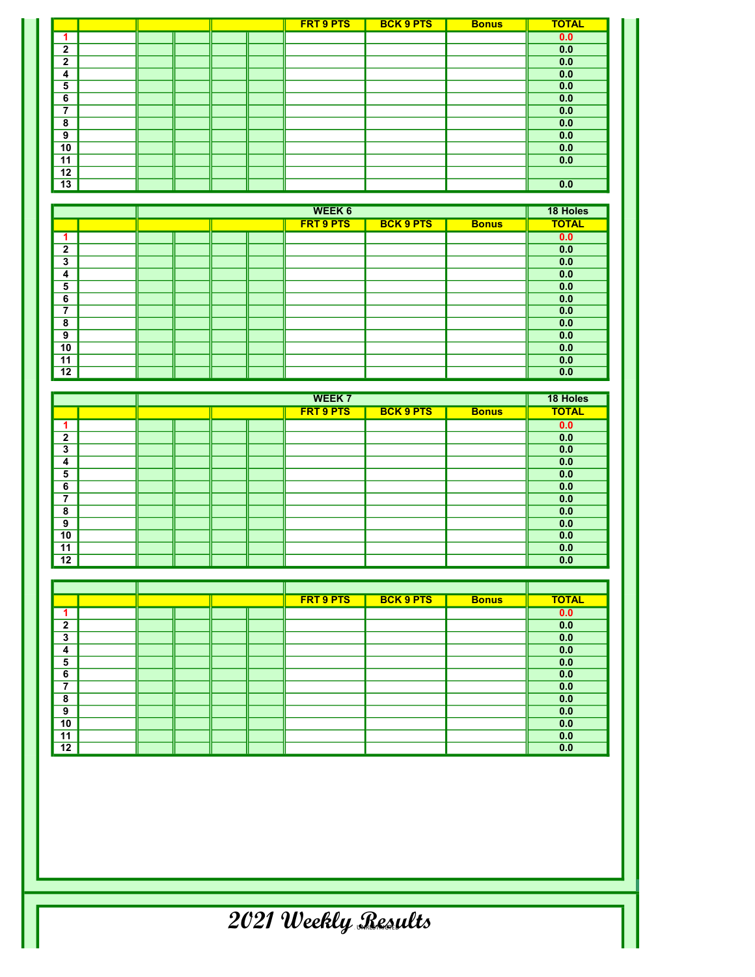|                |  |  | <b>FRT 9 PTS</b> | <b>BCK 9 PTS</b> | <b>Bonus</b> | <b>TOTAL</b> |
|----------------|--|--|------------------|------------------|--------------|--------------|
|                |  |  |                  |                  |              | 0.0          |
| $\overline{2}$ |  |  |                  |                  |              | 0.0          |
| $\overline{2}$ |  |  |                  |                  |              | 0.0          |
| 4              |  |  |                  |                  |              | 0.0          |
| 5              |  |  |                  |                  |              | 0.0          |
| 6              |  |  |                  |                  |              | 0.0          |
| ⇁              |  |  |                  |                  |              | 0.0          |
| 8              |  |  |                  |                  |              | 0.0          |
| 9              |  |  |                  |                  |              | 0.0          |
| 10             |  |  |                  |                  |              | 0.0          |
| 11             |  |  |                  |                  |              | 0.0          |
| 12             |  |  |                  |                  |              |              |
| 13             |  |  |                  |                  |              | 0.0          |

|                |  |  | <b>WEEK 6</b>    |                  |              | 18 Holes     |
|----------------|--|--|------------------|------------------|--------------|--------------|
|                |  |  | <b>FRT 9 PTS</b> | <b>BCK 9 PTS</b> | <b>Bonus</b> | <b>TOTAL</b> |
|                |  |  |                  |                  |              | 0.0          |
| $\mathbf{2}$   |  |  |                  |                  |              | 0.0          |
| 3              |  |  |                  |                  |              | 0.0          |
| 4              |  |  |                  |                  |              | 0.0          |
| 5              |  |  |                  |                  |              | 0.0          |
| 6              |  |  |                  |                  |              | 0.0          |
| $\overline{ }$ |  |  |                  |                  |              | 0.0          |
| 8              |  |  |                  |                  |              | 0.0          |
| 9              |  |  |                  |                  |              | 0.0          |
| 10             |  |  |                  |                  |              | 0.0          |
| 11             |  |  |                  |                  |              | 0.0          |
| 12             |  |  |                  |                  |              | 0.0          |

|                          |  |  | <b>WEEK 7</b>    |                  |              | 18 Holes     |
|--------------------------|--|--|------------------|------------------|--------------|--------------|
|                          |  |  | <b>FRT 9 PTS</b> | <b>BCK 9 PTS</b> | <b>Bonus</b> | <b>TOTAL</b> |
|                          |  |  |                  |                  |              | 0.0          |
| $\mathbf{2}$             |  |  |                  |                  |              | 0.0          |
| 3                        |  |  |                  |                  |              | 0.0          |
| 4                        |  |  |                  |                  |              | 0.0          |
| 5                        |  |  |                  |                  |              | 0.0          |
| 6                        |  |  |                  |                  |              | 0.0          |
| $\overline{\phantom{a}}$ |  |  |                  |                  |              | 0.0          |
| 8                        |  |  |                  |                  |              | 0.0          |
| 9                        |  |  |                  |                  |              | 0.0          |
| 10                       |  |  |                  |                  |              | 0.0          |
| 11                       |  |  |                  |                  |              | 0.0          |
| 12                       |  |  |                  |                  |              | 0.0          |

|                          |  |  | <b>FRT 9 PTS</b> | <b>BCK 9 PTS</b> | <b>Bonus</b> | <b>TOTAL</b> |
|--------------------------|--|--|------------------|------------------|--------------|--------------|
|                          |  |  |                  |                  |              | 0.0          |
| $\overline{2}$           |  |  |                  |                  |              | 0.0          |
| 3                        |  |  |                  |                  |              | 0.0          |
| 4                        |  |  |                  |                  |              | 0.0          |
| 5                        |  |  |                  |                  |              | 0.0          |
| 6                        |  |  |                  |                  |              | 0.0          |
| $\overline{\phantom{a}}$ |  |  |                  |                  |              | 0.0          |
| 8                        |  |  |                  |                  |              | 0.0          |
| 9                        |  |  |                  |                  |              | 0.0          |
| 10                       |  |  |                  |                  |              | 0.0          |
| 11                       |  |  |                  |                  |              | 0.0          |
| 12                       |  |  |                  |                  |              | 0.0          |

 $\overline{2021}$  Weekly Results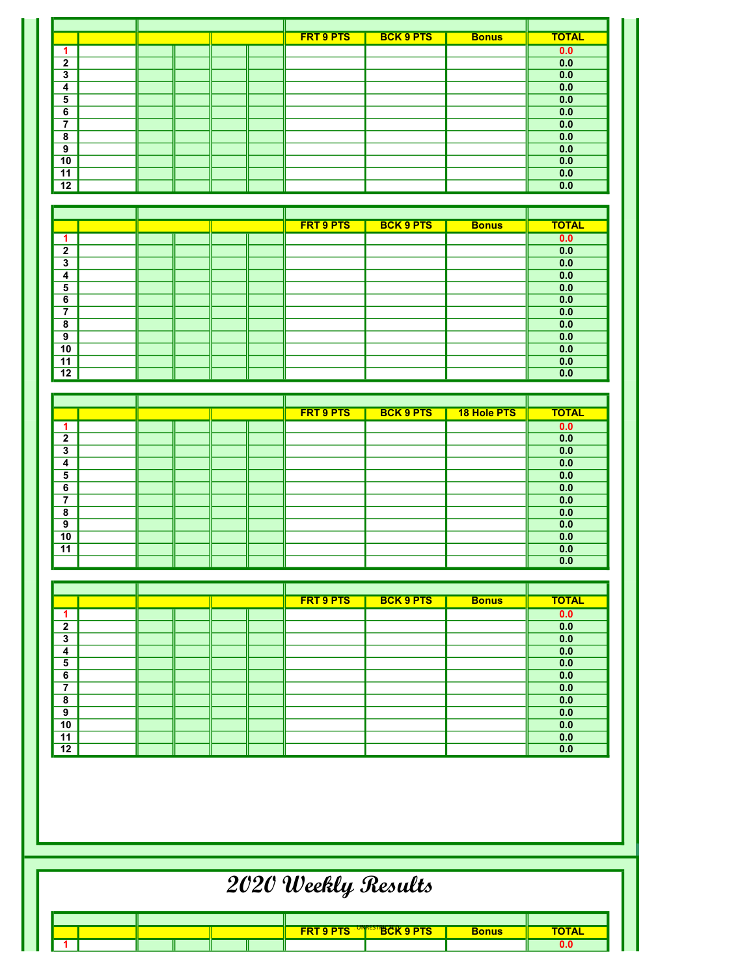|                 |  |  |  |  | <b>FRT 9 PTS</b> | <b>BCK 9 PTS</b> | <b>Bonus</b> | <b>TOTAL</b> |
|-----------------|--|--|--|--|------------------|------------------|--------------|--------------|
|                 |  |  |  |  |                  |                  |              | 0.0          |
| $\overline{2}$  |  |  |  |  |                  |                  |              | 0.0          |
| 3               |  |  |  |  |                  |                  |              | 0.0          |
| 4               |  |  |  |  |                  |                  |              | 0.0          |
| 5               |  |  |  |  |                  |                  |              | 0.0          |
| 6               |  |  |  |  |                  |                  |              | 0.0          |
| $\overline{ }$  |  |  |  |  |                  |                  |              | 0.0          |
| 8               |  |  |  |  |                  |                  |              | 0.0          |
| 9               |  |  |  |  |                  |                  |              | 0.0          |
| 10              |  |  |  |  |                  |                  |              | 0.0          |
| 11              |  |  |  |  |                  |                  |              | 0.0          |
| $\overline{12}$ |  |  |  |  |                  |                  |              | 0.0          |

|                |  |  |  |  | <b>FRT 9 PTS</b> | <b>BCK 9 PTS</b> | <b>Bonus</b> | <b>TOTAL</b> |
|----------------|--|--|--|--|------------------|------------------|--------------|--------------|
|                |  |  |  |  |                  |                  |              | 0.0          |
| $\overline{2}$ |  |  |  |  |                  |                  |              | 0.0          |
| 3              |  |  |  |  |                  |                  |              | 0.0          |
| 4              |  |  |  |  |                  |                  |              | 0.0          |
| 5              |  |  |  |  |                  |                  |              | 0.0          |
| 6              |  |  |  |  |                  |                  |              | 0.0          |
| 7              |  |  |  |  |                  |                  |              | 0.0          |
| 8              |  |  |  |  |                  |                  |              | 0.0          |
| 9              |  |  |  |  |                  |                  |              | 0.0          |
| 10             |  |  |  |  |                  |                  |              | 0.0          |
| 11             |  |  |  |  |                  |                  |              | 0.0          |
| 12             |  |  |  |  |                  |                  |              | 0.0          |

|              |  |  | <b>FRT 9 PTS</b> | <b>BCK 9 PTS</b> | <b>18 Hole PTS</b> | <b>TOTAL</b> |
|--------------|--|--|------------------|------------------|--------------------|--------------|
|              |  |  |                  |                  |                    | 0.0          |
| $\mathbf{2}$ |  |  |                  |                  |                    | 0.0          |
| 3            |  |  |                  |                  |                    | 0.0          |
| 4            |  |  |                  |                  |                    | 0.0          |
| 5            |  |  |                  |                  |                    | 0.0          |
| 6            |  |  |                  |                  |                    | 0.0          |
| 7            |  |  |                  |                  |                    | 0.0          |
| 8            |  |  |                  |                  |                    | 0.0          |
| 9            |  |  |                  |                  |                    | 0.0          |
| 10           |  |  |                  |                  |                    | 0.0          |
| 11           |  |  |                  |                  |                    | 0.0          |
|              |  |  |                  |                  |                    | 0.0          |

|              |  |  | <b>FRT 9 PTS</b> | <b>BCK 9 PTS</b> | <b>Bonus</b> | <b>TOTAL</b> |
|--------------|--|--|------------------|------------------|--------------|--------------|
|              |  |  |                  |                  |              | 0.0          |
| $\mathbf{2}$ |  |  |                  |                  |              | 0.0          |
| 3            |  |  |                  |                  |              | 0.0          |
| 4            |  |  |                  |                  |              | 0.0          |
| 5            |  |  |                  |                  |              | 0.0          |
| 6            |  |  |                  |                  |              | 0.0          |
| 7            |  |  |                  |                  |              | 0.0          |
| 8            |  |  |                  |                  |              | 0.0          |
| 9            |  |  |                  |                  |              | 0.0          |
| 10           |  |  |                  |                  |              | 0.0          |
| 11           |  |  |                  |                  |              | 0.0          |
| 12           |  |  |                  |                  |              | 0.0          |

## 2020 Weekly Results

|  |  |  |  |  |  | <b>FRT 9 PTS UNRESTBCK 9 PTS</b> | <b>Bonus</b> | <b>TOTAL</b> |
|--|--|--|--|--|--|----------------------------------|--------------|--------------|
|  |  |  |  |  |  |                                  |              |              |